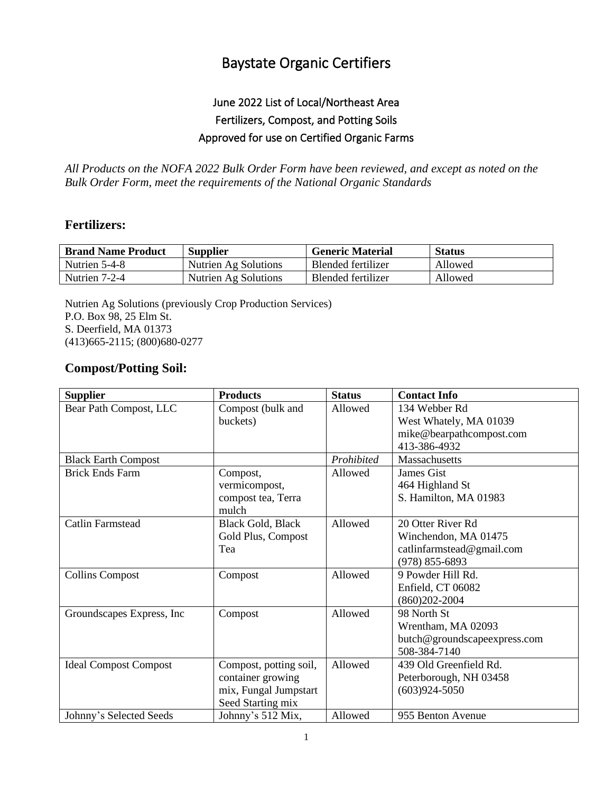## Baystate Organic Certifiers

## June 2022 List of Local/Northeast Area Fertilizers, Compost, and Potting Soils Approved for use on Certified Organic Farms

*All Products on the NOFA 2022 Bulk Order Form have been reviewed, and except as noted on the Bulk Order Form, meet the requirements of the National Organic Standards*

## **Fertilizers:**

| <b>Brand Name Product</b> | <b>Supplier</b>      | <b>Generic Material</b> | <b>Status</b> |
|---------------------------|----------------------|-------------------------|---------------|
| Nutrien 5-4-8             | Nutrien Ag Solutions | Blended fertilizer      | Allowed       |
| Nutrien 7-2-4             | Nutrien Ag Solutions | Blended fertilizer      | Allowed       |

Nutrien Ag Solutions (previously Crop Production Services) P.O. Box 98, 25 Elm St. S. Deerfield, MA 01373 (413)665-2115; (800)680-0277

## **Compost/Potting Soil:**

| <b>Supplier</b>              | <b>Products</b>          | <b>Status</b> | <b>Contact Info</b>          |
|------------------------------|--------------------------|---------------|------------------------------|
| Bear Path Compost, LLC       | Compost (bulk and        | Allowed       | 134 Webber Rd                |
|                              | buckets)                 |               | West Whately, MA 01039       |
|                              |                          |               | mike@bearpathcompost.com     |
|                              |                          |               | 413-386-4932                 |
| <b>Black Earth Compost</b>   |                          | Prohibited    | Massachusetts                |
| <b>Brick Ends Farm</b>       | Compost,                 | Allowed       | James Gist                   |
|                              | vermicompost,            |               | 464 Highland St              |
|                              | compost tea, Terra       |               | S. Hamilton, MA 01983        |
|                              | mulch                    |               |                              |
| <b>Catlin Farmstead</b>      | <b>Black Gold, Black</b> | Allowed       | 20 Otter River Rd            |
|                              | Gold Plus, Compost       |               | Winchendon, MA 01475         |
|                              | Tea                      |               | catlinfarmstead@gmail.com    |
|                              |                          |               | $(978)$ 855-6893             |
| <b>Collins Compost</b>       | Compost                  | Allowed       | 9 Powder Hill Rd.            |
|                              |                          |               | Enfield, CT 06082            |
|                              |                          |               | $(860)202 - 2004$            |
| Groundscapes Express, Inc.   | Compost                  | Allowed       | 98 North St                  |
|                              |                          |               | Wrentham, MA 02093           |
|                              |                          |               | butch@groundscapeexpress.com |
|                              |                          |               | 508-384-7140                 |
| <b>Ideal Compost Compost</b> | Compost, potting soil,   | Allowed       | 439 Old Greenfield Rd.       |
|                              | container growing        |               | Peterborough, NH 03458       |
|                              | mix, Fungal Jumpstart    |               | $(603)924 - 5050$            |
|                              | Seed Starting mix        |               |                              |
| Johnny's Selected Seeds      | Johnny's 512 Mix,        | Allowed       | 955 Benton Avenue            |